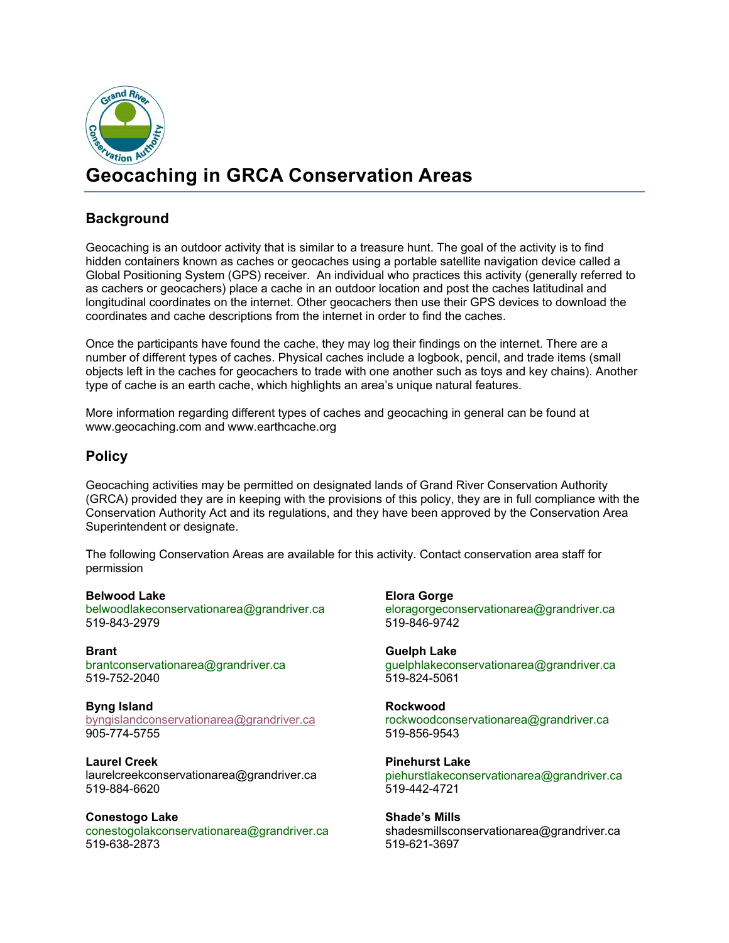

# **Geocaching in GRCA Conservation Areas**

### **Background**

Geocaching is an outdoor activity that is similar to a treasure hunt. The goal of the activity is to find hidden containers known as caches or geocaches using a portable satellite navigation device called a Global Positioning System (GPS) receiver. An individual who practices this activity (generally referred to as cachers or geocachers) place a cache in an outdoor location and post the caches latitudinal and longitudinal coordinates on the internet. Other geocachers then use their GPS devices to download the coordinates and cache descriptions from the internet in order to find the caches.

Once the participants have found the cache, they may log their findings on the internet. There are a number of different types of caches. Physical caches include a logbook, pencil, and trade items (small objects left in the caches for geocachers to trade with one another such as toys and key chains). Another type of cache is an earth cache, which highlights an area's unique natural features.

More information regarding different types of caches and geocaching in general can be found at www.geocaching.com and [www.earthcache.org](http://www.earthcache.org/)

#### **Policy**

Geocaching activities may be permitted on designated lands of Grand River Conservation Authority (GRCA) provided they are in keeping with the provisions of this policy, they are in full compliance with the Conservation Authority Act and its regulations, and they have been approved by the Conservation Area Superintendent or designate.

The following Conservation Areas are available for this activity. Contact conservation area staff for permission

**Belwood Lake** [belwoodlakeconservationarea@grandriver.ca](mailto:belwoodlakeconservationarea@grandriver.ca) 519-843-2979

**Brant** [brantconservationarea@grandriver.ca](mailto:brantconservationarea@grandriver.ca) 519-752-2040

**Byng Island** [byngislandconservationarea@grandriver.ca](mailto:byngislandconservationarea@grandriver.ca) 905-774-5755

**Laurel Creek** laurelcreekconservationarea@grandriver.ca 519-884-6620

**Conestogo Lake** [conestogolakconservationarea@grandriver.ca](mailto:conestogolakconservationarea@grandriver.ca) 519-638-2873

**Elora Gorge** [eloragorgeconservationarea@grandriver.ca](mailto:eloragorgeconservationarea@grandriver.ca) 519-846-9742

**Guelph Lake** [guelphlakeconservationarea@grandriver.ca](mailto:guelphlakeconservationarea@grandriver.ca) 519-824-5061

**Rockwood**  [rockwoodconservationarea@grandriver.ca](mailto:rockwoodconservationarea@grandriver.ca) 519-856-9543

**Pinehurst Lake** [piehurstlakeconservationarea@grandriver.ca](mailto:piehurstlakeconservationarea@grandriver.ca) 519-442-4721

**Shade's Mills** [shadesmillsc](mailto:bjhunt@grandriver.ca)onservationarea@grandriver.ca 519-621-3697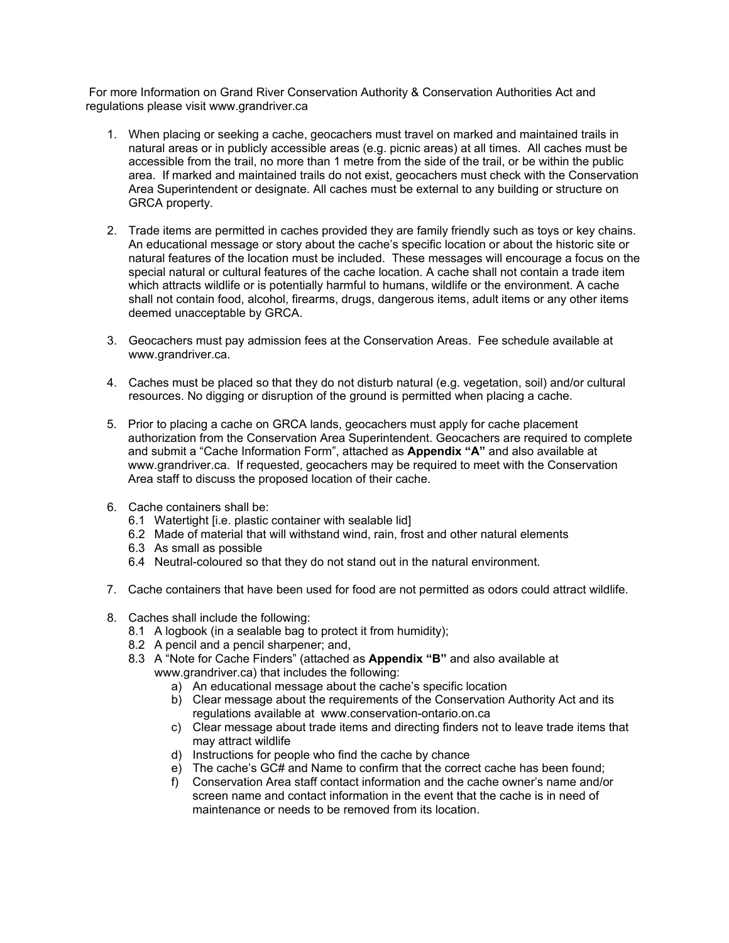For more Information on Grand River Conservation Authority & Conservation Authorities Act and regulations please visit www.grandriver.ca

- 1. When placing or seeking a cache, geocachers must travel on marked and maintained trails in natural areas or in publicly accessible areas (e.g. picnic areas) at all times. All caches must be accessible from the trail, no more than 1 metre from the side of the trail, or be within the public area. If marked and maintained trails do not exist, geocachers must check with the Conservation Area Superintendent or designate. All caches must be external to any building or structure on GRCA property.
- 2. Trade items are permitted in caches provided they are family friendly such as toys or key chains. An educational message or story about the cache's specific location or about the historic site or natural features of the location must be included. These messages will encourage a focus on the special natural or cultural features of the cache location. A cache shall not contain a trade item which attracts wildlife or is potentially harmful to humans, wildlife or the environment. A cache shall not contain food, alcohol, firearms, drugs, dangerous items, adult items or any other items deemed unacceptable by GRCA.
- 3. Geocachers must pay admission fees at the Conservation Areas. Fee schedule available at www.grandriver.ca.
- 4. Caches must be placed so that they do not disturb natural (e.g. vegetation, soil) and/or cultural resources. No digging or disruption of the ground is permitted when placing a cache.
- 5. Prior to placing a cache on GRCA lands, geocachers must apply for cache placement authorization from the Conservation Area Superintendent. Geocachers are required to complete and submit a "Cache Information Form", attached as **Appendix "A"** and also available at [www.grandriver.ca.](http://www.grandriver.ca/) If requested, geocachers may be required to meet with the Conservation Area staff to discuss the proposed location of their cache.
- 6. Cache containers shall be:
	- 6.1 Watertight [i.e. plastic container with sealable lid]
	- 6.2 Made of material that will withstand wind, rain, frost and other natural elements
	- 6.3 As small as possible
	- 6.4 Neutral-coloured so that they do not stand out in the natural environment.
- 7. Cache containers that have been used for food are not permitted as odors could attract wildlife.
- 8. Caches shall include the following:
	- 8.1 A logbook (in a sealable bag to protect it from humidity);
	- 8.2 A pencil and a pencil sharpener; and,
	- 8.3 A "Note for Cache Finders" (attached as **Appendix "B"** and also available at www.grandriver.ca) that includes the following:
		- a) An educational message about the cache's specific location
		- b) Clear message about the requirements of the Conservation Authority Act and its regulations available at www.conservation-ontario.on.ca
		- c) Clear message about trade items and directing finders not to leave trade items that may attract wildlife
		- d) Instructions for people who find the cache by chance
		- e) The cache's GC# and Name to confirm that the correct cache has been found;
		- f) Conservation Area staff contact information and the cache owner's name and/or screen name and contact information in the event that the cache is in need of maintenance or needs to be removed from its location.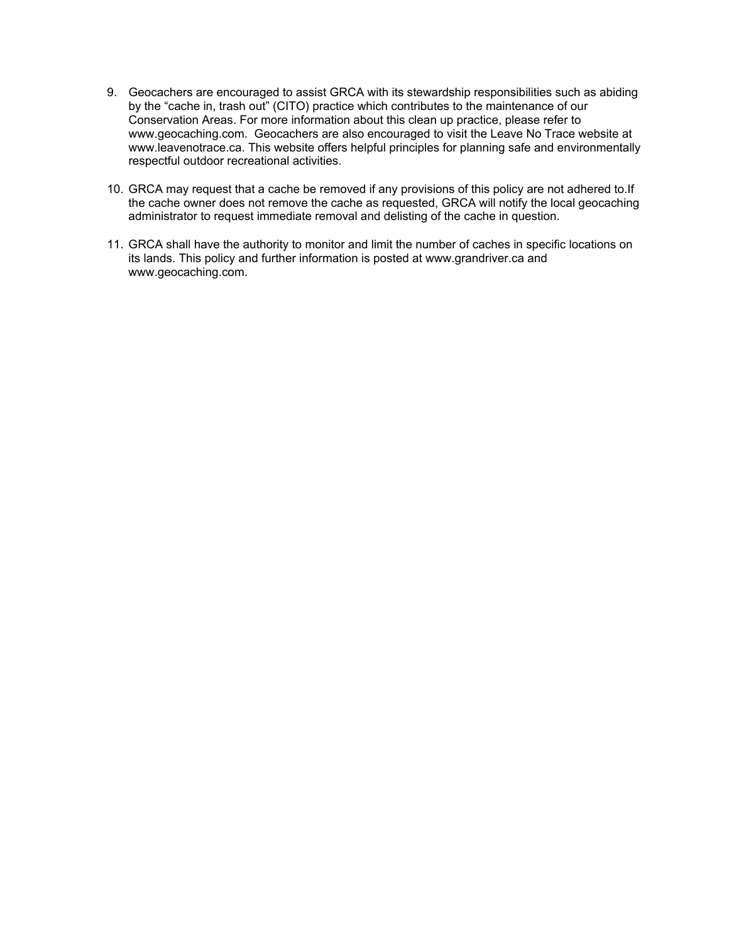- 9. Geocachers are encouraged to assist GRCA with its stewardship responsibilities such as abiding by the "cache in, trash out" (CITO) practice which contributes to the maintenance of our Conservation Areas. For more information about this clean up practice, please refer to www.geocaching.com. Geocachers are also encouraged to visit the Leave No Trace website at www.leavenotrace.ca. This website offers helpful principles for planning safe and environmentally respectful outdoor recreational activities.
- 10. GRCA may request that a cache be removed if any provisions of this policy are not adhered to.If the cache owner does not remove the cache as requested, GRCA will notify the local geocaching administrator to request immediate removal and delisting of the cache in question.
- 11. GRCA shall have the authority to monitor and limit the number of caches in specific locations on its lands. This policy and further information is posted at www.grandriver.ca and www.geocaching.com.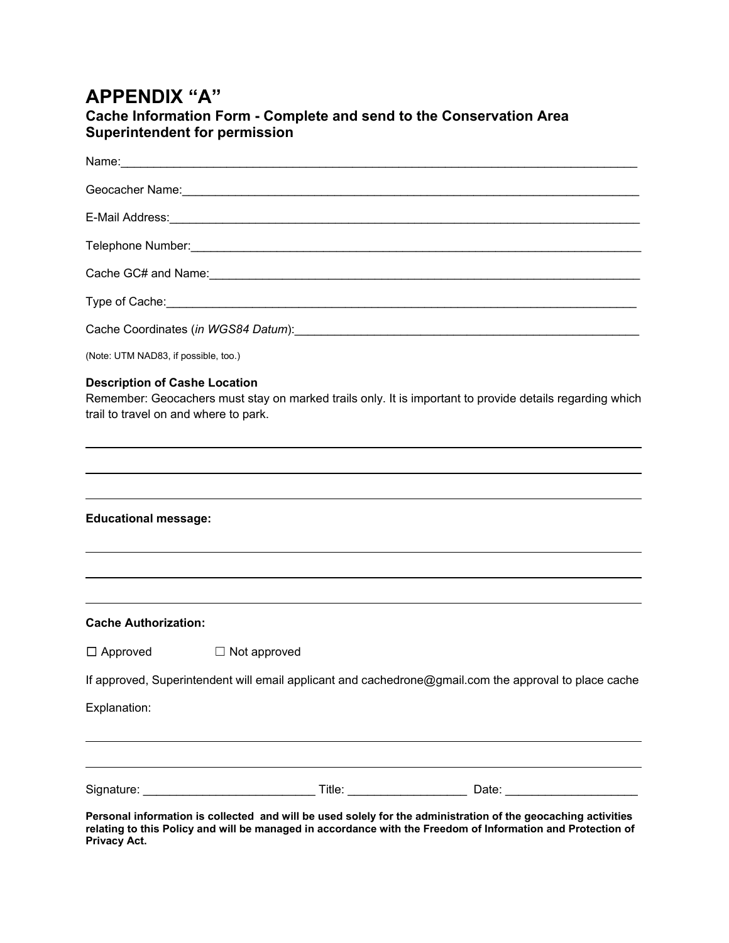## **APPENDIX "A"**

### **Cache Information Form - Complete and send to the Conservation Area Superintendent for permission**

| (Note: UTM NAD83, if possible, too.)                                          |                     |                                                                                                               |
|-------------------------------------------------------------------------------|---------------------|---------------------------------------------------------------------------------------------------------------|
| <b>Description of Cashe Location</b><br>trail to travel on and where to park. |                     | Remember: Geocachers must stay on marked trails only. It is important to provide details regarding which      |
|                                                                               |                     |                                                                                                               |
| <b>Educational message:</b>                                                   |                     |                                                                                                               |
|                                                                               |                     |                                                                                                               |
| <b>Cache Authorization:</b>                                                   |                     |                                                                                                               |
| $\Box$ Approved                                                               | $\Box$ Not approved |                                                                                                               |
|                                                                               |                     | If approved, Superintendent will email applicant and cachedrone@gmail.com the approval to place cache         |
| Explanation:                                                                  |                     |                                                                                                               |
|                                                                               |                     |                                                                                                               |
|                                                                               |                     |                                                                                                               |
|                                                                               |                     | Personal information is collected and will be used solely for the administration of the geocaching activities |

**relating to this Policy and will be managed in accordance with the Freedom of Information and Protection of Privacy Act.**